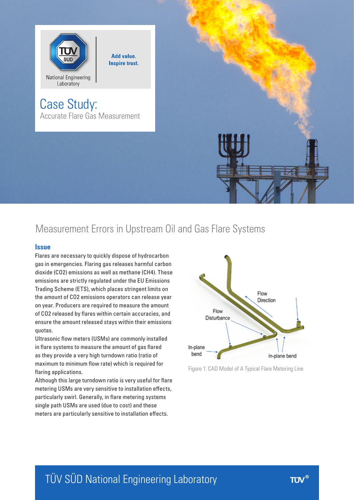

Case Study: Accurate Flare Gas Measurement

**Add value. Inspire trust.** 



# Measurement Errors in Upstream Oil and Gas Flare Systems

#### **Issue**

Flares are necessary to quickly dispose of hydrocarbon gas in emergencies. Flaring gas releases harmful carbon dioxide (CO2) emissions as well as methane (CH4). These emissions are strictly regulated under the EU Emissions Trading Scheme (ETS), which places stringent limits on the amount of CO2 emissions operators can release year on year. Producers are required to measure the amount of CO2 released by flares within certain accuracies, and ensure the amount released stays within their emissions quotas.

Ultrasonic flow meters (USMs) are commonly installed in flare systems to measure the amount of gas flared as they provide a very high turndown ratio (ratio of maximum to minimum flow rate) which is required for flaring applications.

Although this large turndown ratio is very useful for flare metering USMs are very sensitive to installation effects, particularly swirl. Generally, in flare metering systems single path USMs are used (due to cost) and these meters are particularly sensitive to installation effects.



Figure 1: CAD Model of A Typical Flare Metering Line

# TÜV SÜD National Engineering Laboratory